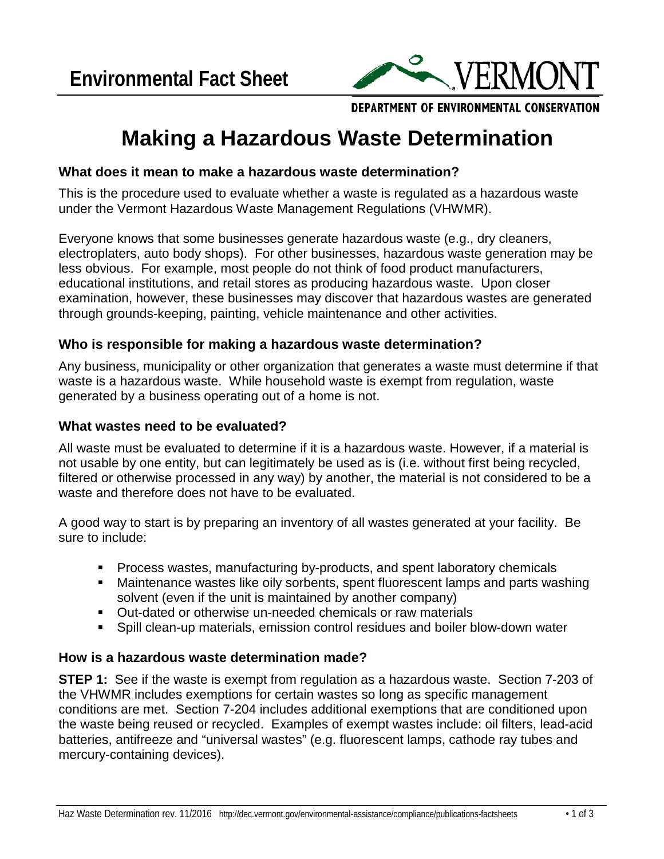

DEPARTMENT OF ENVIRONMENTAL CONSERVATION

# **Making a Hazardous Waste Determination**

## **What does it mean to make a hazardous waste determination?**

This is the procedure used to evaluate whether a waste is regulated as a hazardous waste under the [Vermont Hazardous Waste Management Regulations \(](http://dec.vermont.gov/waste-management/hazardous/regulations)VHWMR).

Everyone knows that some businesses generate hazardous waste (e.g., dry cleaners, electroplaters, auto body shops). For other businesses, hazardous waste generation may be less obvious. For example, most people do not think of food product manufacturers, educational institutions, and retail stores as producing hazardous waste. Upon closer examination, however, these businesses may discover that hazardous wastes are generated through grounds-keeping, painting, vehicle maintenance and other activities.

## **Who is responsible for making a hazardous waste determination?**

Any business, municipality or other organization that generates a waste must determine if that waste is a hazardous waste. While household waste is exempt from regulation, waste generated by a business operating out of a home is not.

#### **What wastes need to be evaluated?**

All waste must be evaluated to determine if it is a hazardous waste. However, if a material is not usable by one entity, but can legitimately be used as is (i.e. without first being recycled, filtered or otherwise processed in any way) by another, the material is not considered to be a waste and therefore does not have to be evaluated.

A good way to start is by preparing an inventory of all wastes generated at your facility. Be sure to include:

- Process wastes, manufacturing by-products, and spent laboratory chemicals
- Maintenance wastes like oily sorbents, spent fluorescent lamps and parts washing solvent (even if the unit is maintained by another company)
- Out-dated or otherwise un-needed chemicals or raw materials
- Spill clean-up materials, emission control residues and boiler blow-down water

## **How is a hazardous waste determination made?**

**STEP 1:** See if the waste is exempt from regulation as a hazardous waste. Section 7-203 of the VHWMR includes exemptions for certain wastes so long as specific management conditions are met. Section 7-204 includes additional exemptions that are conditioned upon the waste being reused or recycled. Examples of exempt wastes include: oil filters, lead-acid batteries, antifreeze and "universal wastes" (e.g. fluorescent lamps, cathode ray tubes and mercury-containing devices).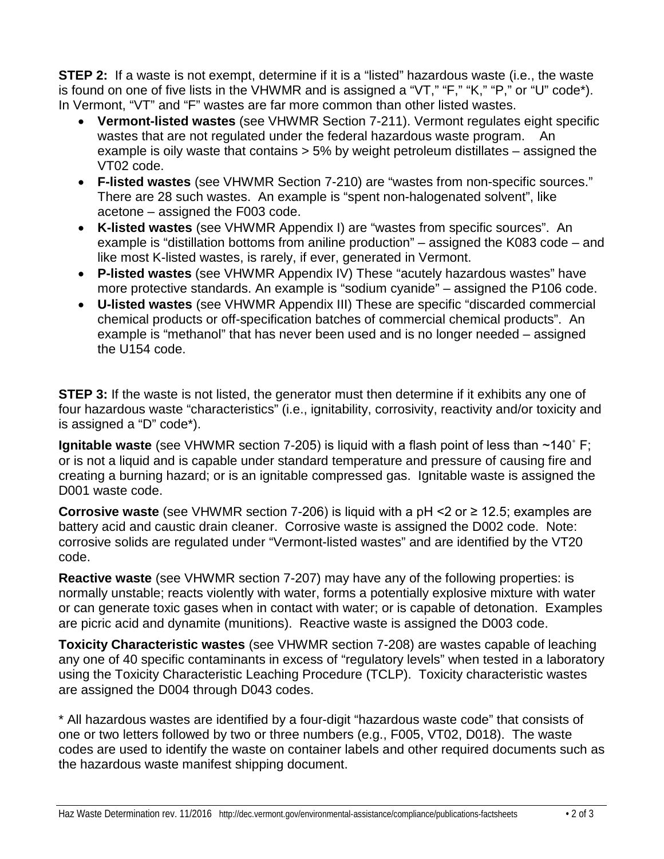**STEP 2:** If a waste is not exempt, determine if it is a "listed" hazardous waste (i.e., the waste is found on one of five lists in the VHWMR and is assigned a "VT," "F," "K," "P," or "U" code\*). In Vermont, "VT" and "F" wastes are far more common than other listed wastes.

- **Vermont-listed wastes** (see VHWMR Section 7-211). Vermont regulates eight specific wastes that are not regulated under the federal hazardous waste program. An example is oily waste that contains > 5% by weight petroleum distillates – assigned the VT02 code.
- **F-listed wastes** (see VHWMR Section 7-210) are "wastes from non-specific sources." There are 28 such wastes. An example is "spent non-halogenated solvent", like acetone – assigned the F003 code.
- **K-listed wastes** (see VHWMR Appendix I) are "wastes from specific sources". An example is "distillation bottoms from aniline production" – assigned the K083 code – and like most K-listed wastes, is rarely, if ever, generated in Vermont.
- **P-listed wastes** (see VHWMR Appendix IV) These "acutely hazardous wastes" have more protective standards. An example is "sodium cyanide" – assigned the P106 code.
- **U-listed wastes** (see VHWMR Appendix III) These are specific "discarded commercial chemical products or off-specification batches of commercial chemical products". An example is "methanol" that has never been used and is no longer needed – assigned the U154 code.

**STEP 3:** If the waste is not listed, the generator must then determine if it exhibits any one of four hazardous waste "characteristics" (i.e., ignitability, corrosivity, reactivity and/or toxicity and is assigned a "D" code\*).

**Ignitable waste** (see VHWMR section 7-205) is liquid with a flash point of less than ~140° F; or is not a liquid and is capable under standard temperature and pressure of causing fire and creating a burning hazard; or is an ignitable compressed gas. Ignitable waste is assigned the D001 waste code.

**Corrosive waste** (see VHWMR section 7-206) is liquid with a pH <2 or ≥ 12.5; examples are battery acid and caustic drain cleaner. Corrosive waste is assigned the D002 code. Note: corrosive solids are regulated under "Vermont-listed wastes" and are identified by the VT20 code.

**Reactive waste** (see VHWMR section 7-207) may have any of the following properties: is normally unstable; reacts violently with water, forms a potentially explosive mixture with water or can generate toxic gases when in contact with water; or is capable of detonation. Examples are picric acid and dynamite (munitions). Reactive waste is assigned the D003 code.

**Toxicity Characteristic wastes** (see VHWMR section 7-208) are wastes capable of leaching any one of 40 specific contaminants in excess of "regulatory levels" when tested in a laboratory using the Toxicity Characteristic Leaching Procedure (TCLP). Toxicity characteristic wastes are assigned the D004 through D043 codes.

\* All hazardous wastes are identified by a four-digit "hazardous waste code" that consists of one or two letters followed by two or three numbers (e.g., F005, VT02, D018). The waste codes are used to identify the waste on container labels and other required documents such as the hazardous waste manifest shipping document.